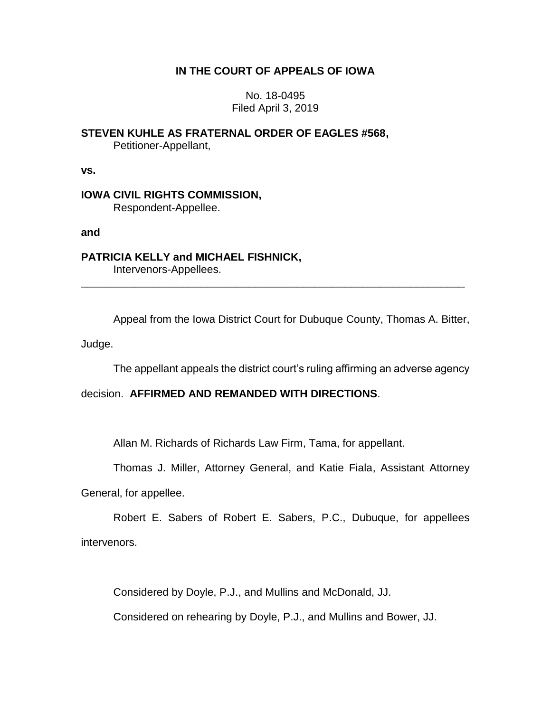# **IN THE COURT OF APPEALS OF IOWA**

## No. 18-0495 Filed April 3, 2019

**STEVEN KUHLE AS FRATERNAL ORDER OF EAGLES #568,** Petitioner-Appellant,

**vs.**

**IOWA CIVIL RIGHTS COMMISSION,** Respondent-Appellee.

**and**

**PATRICIA KELLY and MICHAEL FISHNICK,** Intervenors-Appellees.

Appeal from the Iowa District Court for Dubuque County, Thomas A. Bitter,

\_\_\_\_\_\_\_\_\_\_\_\_\_\_\_\_\_\_\_\_\_\_\_\_\_\_\_\_\_\_\_\_\_\_\_\_\_\_\_\_\_\_\_\_\_\_\_\_\_\_\_\_\_\_\_\_\_\_\_\_\_\_\_\_

Judge.

The appellant appeals the district court's ruling affirming an adverse agency

### decision. **AFFIRMED AND REMANDED WITH DIRECTIONS**.

Allan M. Richards of Richards Law Firm, Tama, for appellant.

Thomas J. Miller, Attorney General, and Katie Fiala, Assistant Attorney

General, for appellee.

Robert E. Sabers of Robert E. Sabers, P.C., Dubuque, for appellees intervenors.

Considered by Doyle, P.J., and Mullins and McDonald, JJ.

Considered on rehearing by Doyle, P.J., and Mullins and Bower, JJ.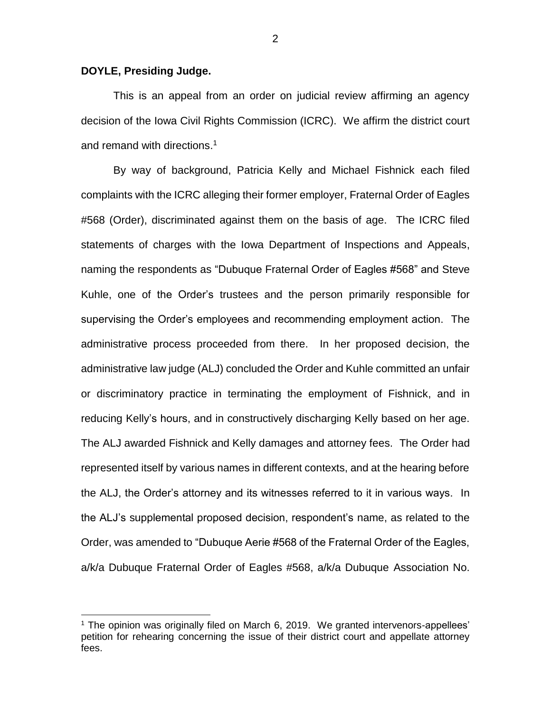#### **DOYLE, Presiding Judge.**

 $\overline{a}$ 

This is an appeal from an order on judicial review affirming an agency decision of the Iowa Civil Rights Commission (ICRC). We affirm the district court and remand with directions. 1

By way of background, Patricia Kelly and Michael Fishnick each filed complaints with the ICRC alleging their former employer, Fraternal Order of Eagles #568 (Order), discriminated against them on the basis of age. The ICRC filed statements of charges with the Iowa Department of Inspections and Appeals, naming the respondents as "Dubuque Fraternal Order of Eagles #568" and Steve Kuhle, one of the Order's trustees and the person primarily responsible for supervising the Order's employees and recommending employment action. The administrative process proceeded from there. In her proposed decision, the administrative law judge (ALJ) concluded the Order and Kuhle committed an unfair or discriminatory practice in terminating the employment of Fishnick, and in reducing Kelly's hours, and in constructively discharging Kelly based on her age. The ALJ awarded Fishnick and Kelly damages and attorney fees. The Order had represented itself by various names in different contexts, and at the hearing before the ALJ, the Order's attorney and its witnesses referred to it in various ways. In the ALJ's supplemental proposed decision, respondent's name, as related to the Order, was amended to "Dubuque Aerie #568 of the Fraternal Order of the Eagles, a/k/a Dubuque Fraternal Order of Eagles #568, a/k/a Dubuque Association No.

 $1$  The opinion was originally filed on March 6, 2019. We granted intervenors-appellees' petition for rehearing concerning the issue of their district court and appellate attorney fees.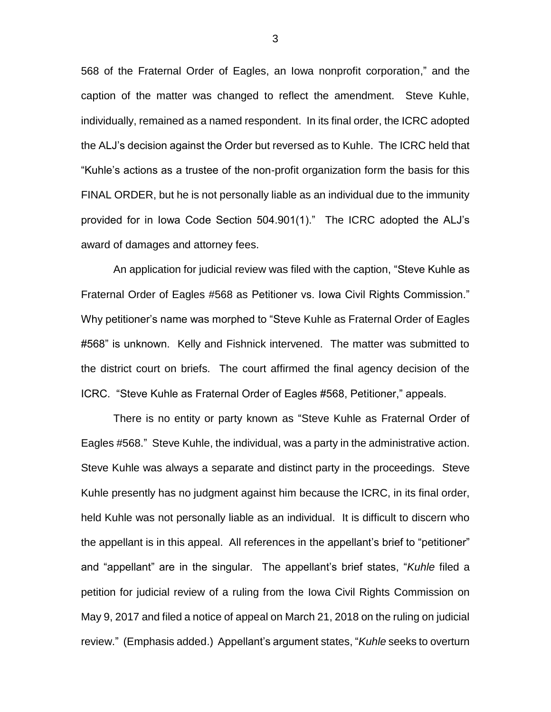568 of the Fraternal Order of Eagles, an Iowa nonprofit corporation," and the caption of the matter was changed to reflect the amendment. Steve Kuhle, individually, remained as a named respondent. In its final order, the ICRC adopted the ALJ's decision against the Order but reversed as to Kuhle. The ICRC held that "Kuhle's actions as a trustee of the non-profit organization form the basis for this FINAL ORDER, but he is not personally liable as an individual due to the immunity provided for in Iowa Code Section 504.901(1)." The ICRC adopted the ALJ's award of damages and attorney fees.

An application for judicial review was filed with the caption, "Steve Kuhle as Fraternal Order of Eagles #568 as Petitioner vs. Iowa Civil Rights Commission." Why petitioner's name was morphed to "Steve Kuhle as Fraternal Order of Eagles #568" is unknown. Kelly and Fishnick intervened. The matter was submitted to the district court on briefs. The court affirmed the final agency decision of the ICRC. "Steve Kuhle as Fraternal Order of Eagles #568, Petitioner," appeals.

There is no entity or party known as "Steve Kuhle as Fraternal Order of Eagles #568." Steve Kuhle, the individual, was a party in the administrative action. Steve Kuhle was always a separate and distinct party in the proceedings. Steve Kuhle presently has no judgment against him because the ICRC, in its final order, held Kuhle was not personally liable as an individual. It is difficult to discern who the appellant is in this appeal. All references in the appellant's brief to "petitioner" and "appellant" are in the singular. The appellant's brief states, "*Kuhle* filed a petition for judicial review of a ruling from the Iowa Civil Rights Commission on May 9, 2017 and filed a notice of appeal on March 21, 2018 on the ruling on judicial review." (Emphasis added.) Appellant's argument states, "*Kuhle* seeks to overturn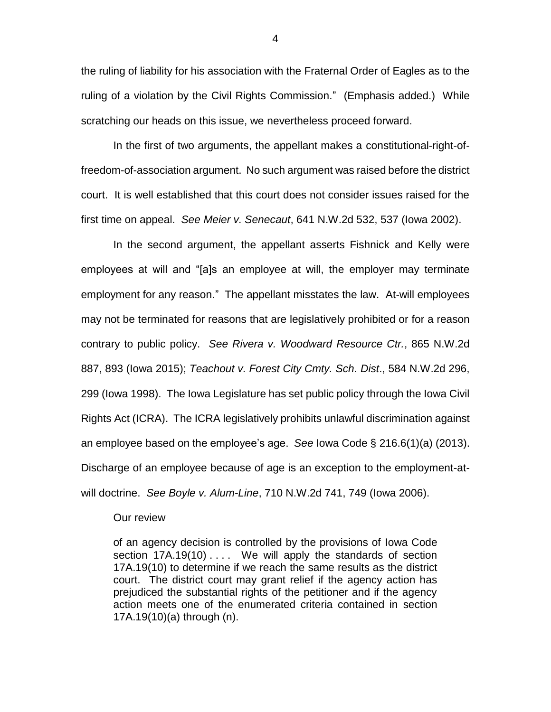the ruling of liability for his association with the Fraternal Order of Eagles as to the ruling of a violation by the Civil Rights Commission." (Emphasis added.) While scratching our heads on this issue, we nevertheless proceed forward.

In the first of two arguments, the appellant makes a constitutional-right-offreedom-of-association argument. No such argument was raised before the district court. It is well established that this court does not consider issues raised for the first time on appeal. *See Meier v. Senecaut*, 641 N.W.2d 532, 537 (Iowa 2002).

In the second argument, the appellant asserts Fishnick and Kelly were employees at will and "[a]s an employee at will, the employer may terminate employment for any reason." The appellant misstates the law. At-will employees may not be terminated for reasons that are legislatively prohibited or for a reason contrary to public policy. *See Rivera v. Woodward Resource Ctr.*, 865 N.W.2d 887, 893 (Iowa 2015); *Teachout v. Forest City Cmty. Sch. Dist*., 584 N.W.2d 296, 299 (Iowa 1998). The Iowa Legislature has set public policy through the Iowa Civil Rights Act (ICRA). The ICRA legislatively prohibits unlawful discrimination against an employee based on the employee's age. *See* Iowa Code § 216.6(1)(a) (2013). Discharge of an employee because of age is an exception to the employment-atwill doctrine. *See Boyle v. Alum-Line*, 710 N.W.2d 741, 749 (Iowa 2006).

#### Our review

of an agency decision is controlled by the provisions of Iowa Code section 17A.19(10) .... We will apply the standards of section 17A.19(10) to determine if we reach the same results as the district court. The district court may grant relief if the agency action has prejudiced the substantial rights of the petitioner and if the agency action meets one of the enumerated criteria contained in section 17A.19(10)(a) through (n).

4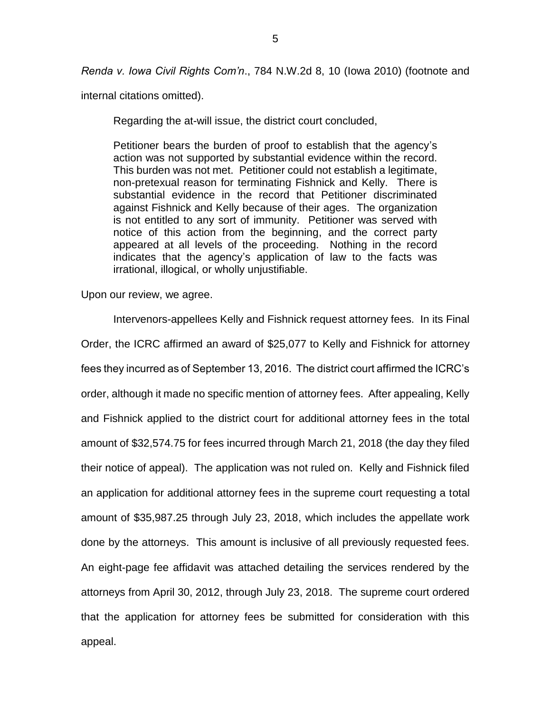*Renda v. Iowa Civil Rights Com'n*., 784 N.W.2d 8, 10 (Iowa 2010) (footnote and

internal citations omitted).

Regarding the at-will issue, the district court concluded,

Petitioner bears the burden of proof to establish that the agency's action was not supported by substantial evidence within the record. This burden was not met. Petitioner could not establish a legitimate, non-pretexual reason for terminating Fishnick and Kelly. There is substantial evidence in the record that Petitioner discriminated against Fishnick and Kelly because of their ages. The organization is not entitled to any sort of immunity. Petitioner was served with notice of this action from the beginning, and the correct party appeared at all levels of the proceeding. Nothing in the record indicates that the agency's application of law to the facts was irrational, illogical, or wholly unjustifiable.

Upon our review, we agree.

Intervenors-appellees Kelly and Fishnick request attorney fees. In its Final Order, the ICRC affirmed an award of \$25,077 to Kelly and Fishnick for attorney fees they incurred as of September 13, 2016. The district court affirmed the ICRC's order, although it made no specific mention of attorney fees. After appealing, Kelly and Fishnick applied to the district court for additional attorney fees in the total amount of \$32,574.75 for fees incurred through March 21, 2018 (the day they filed their notice of appeal). The application was not ruled on. Kelly and Fishnick filed an application for additional attorney fees in the supreme court requesting a total amount of \$35,987.25 through July 23, 2018, which includes the appellate work done by the attorneys. This amount is inclusive of all previously requested fees. An eight-page fee affidavit was attached detailing the services rendered by the attorneys from April 30, 2012, through July 23, 2018. The supreme court ordered that the application for attorney fees be submitted for consideration with this appeal.